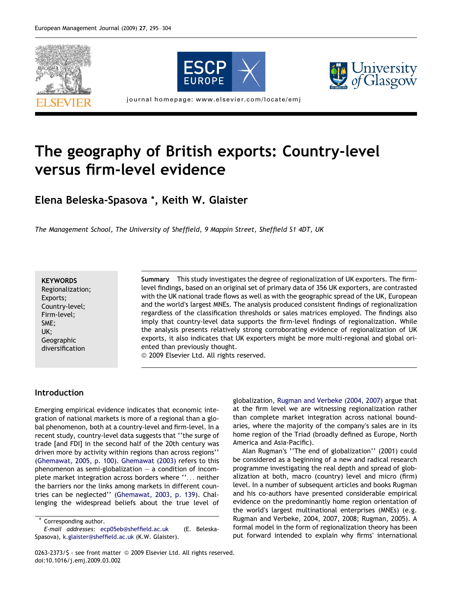





journal homepage: www.elsevier.com/locate/emj

## The geography of British exports: Country-level versus firm-level evidence

Elena Beleska-Spasova \*, Keith W. Glaister

The Management School, The University of Sheffield, 9 Mappin Street, Sheffield S1 4DT, UK

**KEYWORDS** Regionalization; Exports; Country-level; Firm-level; SME; UK; Geographic diversification

Summary This study investigates the degree of regionalization of UK exporters. The firmlevel findings, based on an original set of primary data of 356 UK exporters, are contrasted with the UK national trade flows as well as with the geographic spread of the UK, European and the world's largest MNEs. The analysis produced consistent findings of regionalization regardless of the classification thresholds or sales matrices employed. The findings also imply that country-level data supports the firm-level findings of regionalization. While the analysis presents relatively strong corroborating evidence of regionalization of UK exports, it also indicates that UK exporters might be more multi-regional and global oriented than previously thought.

<sup>©</sup> 2009 Elsevier Ltd. All rights reserved.

## Introduction

Emerging empirical evidence indicates that economic integration of national markets is more of a regional than a global phenomenon, both at a country-level and firm-level. In a recent study, country-level data suggests that ''the surge of trade [and FDI] in the second half of the 20th century was driven more by activity within regions than across regions'' ([Ghemawat, 2005, p. 100](#page--1-0)). [Ghemawat \(2003\)](#page--1-0) refers to this phenomenon as semi-globalization  $-$  a condition of incomplete market integration across borders where ''... neither the barriers nor the links among markets in different countries can be neglected'' ([Ghemawat, 2003, p. 139](#page--1-0)). Challenging the widespread beliefs about the true level of

Corresponding author.

globalization, [Rugman and Verbeke \(2004, 2007\)](#page--1-0) argue that at the firm level we are witnessing regionalization rather than complete market integration across national boundaries, where the majority of the company's sales are in its home region of the Triad (broadly defined as Europe, North America and Asia-Pacific).

Alan Rugman's ''The end of globalization'' (2001) could be considered as a beginning of a new and radical research programme investigating the real depth and spread of globalization at both, macro (country) level and micro (firm) level. In a number of subsequent articles and books Rugman and his co-authors have presented considerable empirical evidence on the predominantly home region orientation of the world's largest multinational enterprises (MNEs) (e.g. [Rugman and Verbeke, 2004, 2007, 2008; Rugman, 2005](#page--1-0)). A formal model in the form of regionalization theory has been put forward intended to explain why firms' international

E-mail addresses: [ecp05eb@sheffield.ac.uk](mailto:ecp05eb@sheffield.ac.uk  ) (E. Beleska-Spasova), [k.glaister@sheffield.ac.uk](mailto:k.glaister@sheffield.ac.uk) (K.W. Glaister).

<sup>0263-2373/\$ -</sup> see front matter © 2009 Elsevier Ltd. All rights reserved. doi:10.1016/j.emj.2009.03.002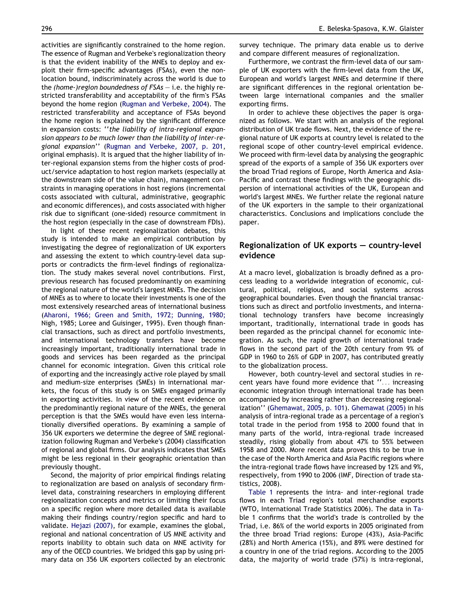activities are significantly constrained to the home region. The essence of Rugman and Verbeke's regionalization theory is that the evident inability of the MNEs to deploy and exploit their firm-specific advantages (FSAs), even the nonlocation bound, indiscriminately across the world is due to the (home-)region boundedness of  $FSAs - i.e.$  the highly restricted transferability and acceptability of the firm's FSAs beyond the home region ([Rugman and Verbeke, 2004](#page--1-0)). The restricted transferability and acceptance of FSAs beyond the home region is explained by the significant difference in expansion costs: ''the liability of intra-regional expansion appears to be much lower than the liability of inter-regional expansion'' [\(Rugman and Verbeke, 2007, p. 201,](#page--1-0) original emphasis). It is argued that the higher liability of inter-regional expansion stems from the higher costs of product/service adaptation to host region markets (especially at the downstream side of the value chain), management constraints in managing operations in host regions (incremental costs associated with cultural, administrative, geographic and economic differences), and costs associated with higher risk due to significant (one-sided) resource commitment in the host region (especially in the case of downstream FDIs).

In light of these recent regionalization debates, this study is intended to make an empirical contribution by investigating the degree of regionalization of UK exporters and assessing the extent to which country-level data supports or contradicts the firm-level findings of regionalization. The study makes several novel contributions. First, previous research has focused predominantly on examining the regional nature of the world's largest MNEs. The decision of MNEs as to where to locate their investments is one of the most extensively researched areas of international business [\(Aharoni, 1966; Green and Smith, 1972; Dunning, 1980;](#page--1-0) [Nigh, 1985; Loree and Guisinger, 1995](#page--1-0)). Even though financial transactions, such as direct and portfolio investments, and international technology transfers have become increasingly important, traditionally international trade in goods and services has been regarded as the principal channel for economic integration. Given this critical role of exporting and the increasingly active role played by small and medium-size enterprises (SMEs) in international markets, the focus of this study is on SMEs engaged primarily in exporting activities. In view of the recent evidence on the predominantly regional nature of the MNEs, the general perception is that the SMEs would have even less internationally diversified operations. By examining a sample of 356 UK exporters we determine the degree of SME regionalization following Rugman and Verbeke's (2004) classification of regional and global firms. Our analysis indicates that SMEs might be less regional in their geographic orientation than previously thought.

Second, the majority of prior empirical findings relating to regionalization are based on analysis of secondary firmlevel data, constraining researchers in employing different regionalization concepts and metrics or limiting their focus on a specific region where more detailed data is available making their findings country/region specific and hard to validate. [Hejazi \(2007\)](#page--1-0), for example, examines the global, regional and national concentration of US MNE activity and reports inability to obtain such data on MNE activity for any of the OECD countries. We bridged this gap by using primary data on 356 UK exporters collected by an electronic survey technique. The primary data enable us to derive and compare different measures of regionalization.

Furthermore, we contrast the firm-level data of our sample of UK exporters with the firm-level data from the UK, European and world's largest MNEs and determine if there are significant differences in the regional orientation between large international companies and the smaller exporting firms.

In order to achieve these objectives the paper is organized as follows. We start with an analysis of the regional distribution of UK trade flows. Next, the evidence of the regional nature of UK exports at country level is related to the regional scope of other country-level empirical evidence. We proceed with firm-level data by analysing the geographic spread of the exports of a sample of 356 UK exporters over the broad Triad regions of Europe, North America and Asia-Pacific and contrast these findings with the geographic dispersion of international activities of the UK, European and world's largest MNEs. We further relate the regional nature of the UK exporters in the sample to their organizational characteristics. Conclusions and implications conclude the paper.

## Regionalization of UK exports – country-level evidence

At a macro level, globalization is broadly defined as a process leading to a worldwide integration of economic, cultural, political, religious, and social systems across geographical boundaries. Even though the financial transactions such as direct and portfolio investments, and international technology transfers have become increasingly important, traditionally, international trade in goods has been regarded as the principal channel for economic integration. As such, the rapid growth of international trade flows in the second part of the 20th century from 9% of GDP in 1960 to 26% of GDP in 2007, has contributed greatly to the globalization process.

However, both country-level and sectoral studies in recent years have found more evidence that ''... increasing economic integration through international trade has been accompanied by increasing rather than decreasing regionalization'' [\(Ghemawat, 2005, p. 101\)](#page--1-0). [Ghemawat \(2005\)](#page--1-0) in his analysis of intra-regional trade as a percentage of a region's total trade in the period from 1958 to 2000 found that in many parts of the world, intra-regional trade increased steadily, rising globally from about 47% to 55% between 1958 and 2000. More recent data proves this to be true in the case of the North America and Asia Pacific regions where the intra-regional trade flows have increased by 12% and 9%, respectively, from 1990 to 2006 (IMF, Direction of trade statistics, 2008).

[Table 1](#page--1-0) represents the intra- and inter-regional trade flows in each Triad region's total merchandise exports (WTO, International Trade Statistics 2006). The data in [Ta](#page--1-0)[ble 1](#page--1-0) confirms that the world's trade is controlled by the Triad, i.e. 86% of the world exports in 2005 originated from the three broad Triad regions: Europe (43%), Asia-Pacific (28%) and North America (15%), and 89% were destined for a country in one of the triad regions. According to the 2005 data, the majority of world trade (57%) is intra-regional,